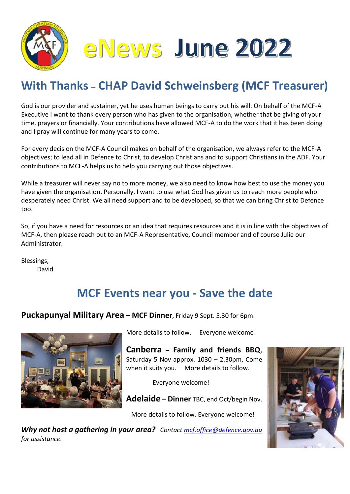



# **With Thanks – CHAP David Schweinsberg (MCF Treasurer)**

God is our provider and sustainer, yet he uses human beings to carry out his will. On behalf of the MCF-A Executive I want to thank every person who has given to the organisation, whether that be giving of your time, prayers or financially. Your contributions have allowed MCF-A to do the work that it has been doing and I pray will continue for many years to come.

For every decision the MCF-A Council makes on behalf of the organisation, we always refer to the MCF-A objectives; to lead all in Defence to Christ, to develop Christians and to support Christians in the ADF. Your contributions to MCF-A helps us to help you carrying out those objectives.

While a treasurer will never say no to more money, we also need to know how best to use the money you have given the organisation. Personally, I want to use what God has given us to reach more people who desperately need Christ. We all need support and to be developed, so that we can bring Christ to Defence too.

So, if you have a need for resources or an idea that requires resources and it is in line with the objectives of MCF-A, then please reach out to an MCF-A Representative, Council member and of course Julie our Administrator.

Blessings, David

### **MCF Events near you - Save the date**

#### **Puckapunyal Military Area – MCF Dinner**, Friday 9 Sept. 5.30 for 6pm.



More details to follow. Everyone welcome!

**Canberra – Family and friends BBQ**, Saturday 5 Nov approx. 1030 – 2.30pm. Come when it suits you. More details to follow.

Everyone welcome!

**Adelaide – Dinner** TBC, end Oct/begin Nov.

More details to follow. Everyone welcome!

*Why not host a gathering in your area? Contact [mcf.office@defence.gov.au](mailto:mcf.office@defence.gov.au) for assistance.* 

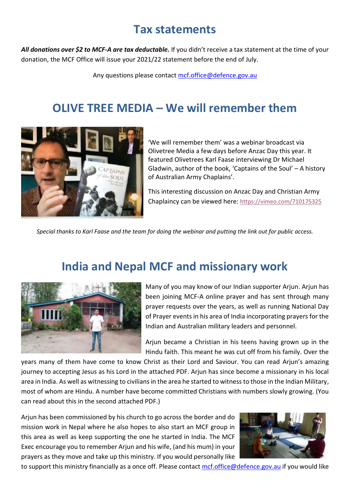### **Tax statements**

*All donations over \$2 to MCF-A are tax deductable.* If you didn't receive a tax statement at the time of your donation, the MCF Office will issue your 2021/22 statement before the end of July.

Any questions please contact [mcf.office@defence.gov.au](mailto:mcf.office@defence.gov.au)

# **OLIVE TREE MEDIA – We will remember them**



'We will remember them' was a webinar broadcast via Olivetree Media a few days before Anzac Day this year. It featured Olivetrees Karl Faase interviewing Dr Michael Gladwin, author of the book, 'Captains of the Soul' – A history of Australian Army Chaplains'.

This interesting discussion on Anzac Day and Christian Army Chaplaincy can be viewed here: <https://vimeo.com/710175325>

*Special thanks to Karl Faase and the team for doing the webinar and putting the link out for public access.*

# **India and Nepal MCF and missionary work**



Many of you may know of our Indian supporter Arjun. Arjun has been joining MCF-A online prayer and has sent through many prayer requests over the years, as well as running National Day of Prayer events in his area of India incorporating prayers for the Indian and Australian military leaders and personnel.

Arjun became a Christian in his teens having grown up in the Hindu faith. This meant he was cut off from his family. Over the

years many of them have come to know Christ as their Lord and Saviour. You can read Arjun's amazing journey to accepting Jesus as his Lord in the attached PDF. Arjun has since become a missionary in his local area in India. As well as witnessing to civilians in the area he started to witness to those in the Indian Military, most of whom are Hindu. A number have become committed Christians with numbers slowly growing. (You can read about this in the second attached PDF.)

Arjun has been commissioned by his church to go across the border and do mission work in Nepal where he also hopes to also start an MCF group in this area as well as keep supporting the one he started in India. The MCF Exec encourage you to remember Arjun and his wife, (and his mum) in your prayers as they move and take up this ministry. If you would personally like



to support this ministry financially as a once off. Please contact [mcf.office@defence.gov.au](mailto:mcf.office@defence.gov.au) if you would like